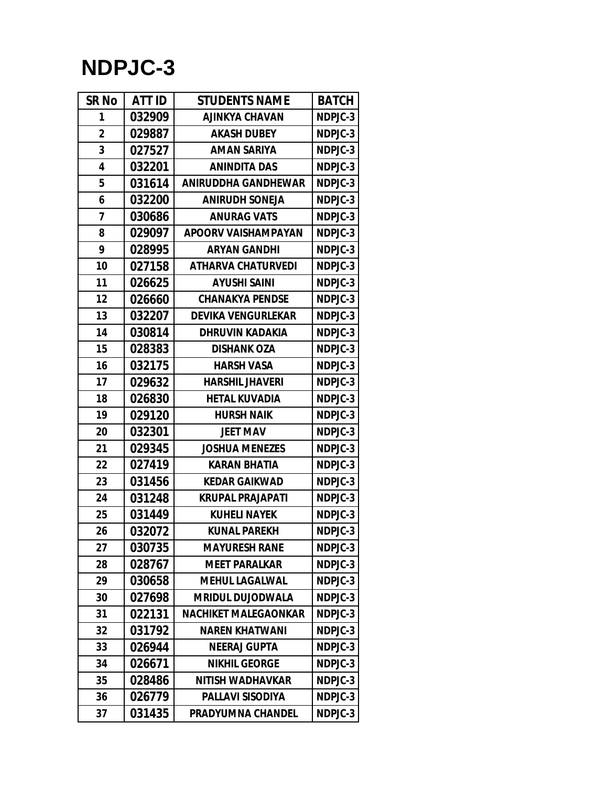## **NDPJC-3**

| <b>SR No</b> | ATT ID | <b>STUDENTS NAME</b>        | <b>BATCH</b> |
|--------------|--------|-----------------------------|--------------|
| 1            | 032909 | <b>AJINKYA CHAVAN</b>       | NDPJC-3      |
| $\mathbf 2$  | 029887 | <b>AKASH DUBEY</b>          | NDPJC-3      |
| 3            | 027527 | <b>AMAN SARIYA</b>          | NDPJC-3      |
| 4            | 032201 | <b>ANINDITA DAS</b>         | NDPJC-3      |
| 5            | 031614 | <b>ANIRUDDHA GANDHEWAR</b>  | NDPJC-3      |
| 6            | 032200 | <b>ANIRUDH SONEJA</b>       | NDPJC-3      |
| 7            | 030686 | <b>ANURAG VATS</b>          | NDPJC-3      |
| 8            | 029097 | <b>APOORV VAISHAMPAYAN</b>  | NDPJC-3      |
| 9            | 028995 | <b>ARYAN GANDHI</b>         | NDPJC-3      |
| 10           | 027158 | <b>ATHARVA CHATURVEDI</b>   | NDPJC-3      |
| 11           | 026625 | <b>AYUSHI SAINI</b>         | NDPJC-3      |
| 12           | 026660 | <b>CHANAKYA PENDSE</b>      | NDPJC-3      |
| 13           | 032207 | <b>DEVIKA VENGURLEKAR</b>   | NDPJC-3      |
| 14           | 030814 | <b>DHRUVIN KADAKIA</b>      | NDPJC-3      |
| 15           | 028383 | <b>DISHANK OZA</b>          | NDPJC-3      |
| 16           | 032175 | <b>HARSH VASA</b>           | NDPJC-3      |
| 17           | 029632 | <b>HARSHIL JHAVERI</b>      | NDPJC-3      |
| 18           | 026830 | <b>HETAL KUVADIA</b>        | NDPJC-3      |
| 19           | 029120 | <b>HURSH NAIK</b>           | NDPJC-3      |
| 20           | 032301 | <b>JEET MAV</b>             | NDPJC-3      |
| 21           | 029345 | <b>JOSHUA MENEZES</b>       | NDPJC-3      |
| 22           | 027419 | <b>KARAN BHATIA</b>         | NDPJC-3      |
| 23           | 031456 | <b>KEDAR GAIKWAD</b>        | NDPJC-3      |
| 24           | 031248 | <b>KRUPAL PRAJAPATI</b>     | NDPJC-3      |
| 25           | 031449 | <b>KUHELI NAYEK</b>         | NDPJC-3      |
| 26           | 032072 | <b>KUNAL PAREKH</b>         | NDPJC-3      |
| 27           | 030735 | <b>MAYURESH RANE</b>        | NDPJC-3      |
| 28           | 028767 | <b>MEET PARALKAR</b>        | NDPJC-3      |
| 29           | 030658 | <b>MEHUL LAGALWAL</b>       | NDPJC-3      |
| 30           | 027698 | <b>MRIDUL DUJODWALA</b>     | NDPJC-3      |
| 31           | 022131 | <b>NACHIKET MALEGAONKAR</b> | NDPJC-3      |
| 32           | 031792 | <b>NAREN KHATWANI</b>       | NDPJC-3      |
| 33           | 026944 | <b>NEERAJ GUPTA</b>         | NDPJC-3      |
| 34           | 026671 | <b>NIKHIL GEORGE</b>        | NDPJC-3      |
| 35           | 028486 | <b>NITISH WADHAVKAR</b>     | NDPJC-3      |
| 36           | 026779 | <b>PALLAVI SISODIYA</b>     | NDPJC-3      |
| 37           | 031435 | <b>PRADYUMNA CHANDEL</b>    | NDPJC-3      |